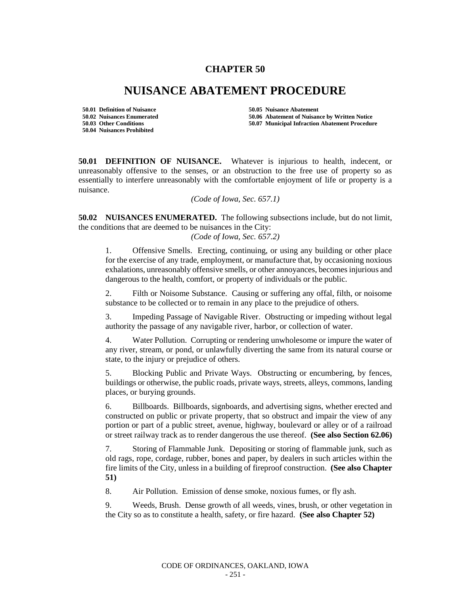## **CHAPTER 50**

## **NUISANCE ABATEMENT PROCEDURE**

**50.01 Definition of Nuisance 50.05 Nuisance Abatement 50.04 Nuisances Prohibited**

**50.02 Nuisances Enumerated 50.06 Abatement of Nuisance by Written Notice 50.07 Municipal Infraction Abatement Procedure** 

**50.01 DEFINITION OF NUISANCE.** Whatever is injurious to health, indecent, or unreasonably offensive to the senses, or an obstruction to the free use of property so as essentially to interfere unreasonably with the comfortable enjoyment of life or property is a nuisance.

*(Code of Iowa, Sec. 657.1)*

**50.02 NUISANCES ENUMERATED.** The following subsections include, but do not limit, the conditions that are deemed to be nuisances in the City:

*(Code of Iowa, Sec. 657.2)*

1. Offensive Smells. Erecting, continuing, or using any building or other place for the exercise of any trade, employment, or manufacture that, by occasioning noxious exhalations, unreasonably offensive smells, or other annoyances, becomes injurious and dangerous to the health, comfort, or property of individuals or the public.

2. Filth or Noisome Substance. Causing or suffering any offal, filth, or noisome substance to be collected or to remain in any place to the prejudice of others.

3. Impeding Passage of Navigable River. Obstructing or impeding without legal authority the passage of any navigable river, harbor, or collection of water.

4. Water Pollution. Corrupting or rendering unwholesome or impure the water of any river, stream, or pond, or unlawfully diverting the same from its natural course or state, to the injury or prejudice of others.

5. Blocking Public and Private Ways. Obstructing or encumbering, by fences, buildings or otherwise, the public roads, private ways, streets, alleys, commons, landing places, or burying grounds.

6. Billboards. Billboards, signboards, and advertising signs, whether erected and constructed on public or private property, that so obstruct and impair the view of any portion or part of a public street, avenue, highway, boulevard or alley or of a railroad or street railway track as to render dangerous the use thereof. **(See also Section 62.06)**

7. Storing of Flammable Junk. Depositing or storing of flammable junk, such as old rags, rope, cordage, rubber, bones and paper, by dealers in such articles within the fire limits of the City, unless in a building of fireproof construction. **(See also Chapter 51)**

8. Air Pollution. Emission of dense smoke, noxious fumes, or fly ash.

9. Weeds, Brush. Dense growth of all weeds, vines, brush, or other vegetation in the City so as to constitute a health, safety, or fire hazard. **(See also Chapter 52)**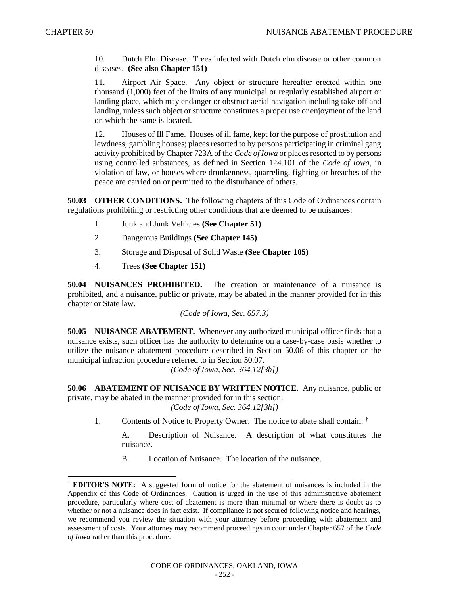$\overline{\phantom{a}}$ 

10. Dutch Elm Disease. Trees infected with Dutch elm disease or other common diseases. **(See also Chapter 151)**

11. Airport Air Space. Any object or structure hereafter erected within one thousand (1,000) feet of the limits of any municipal or regularly established airport or landing place, which may endanger or obstruct aerial navigation including take-off and landing, unless such object or structure constitutes a proper use or enjoyment of the land on which the same is located.

12. Houses of Ill Fame. Houses of ill fame, kept for the purpose of prostitution and lewdness; gambling houses; places resorted to by persons participating in criminal gang activity prohibited by Chapter 723A of the *Code of Iowa* or places resorted to by persons using controlled substances, as defined in Section 124.101 of the *Code of Iowa*, in violation of law, or houses where drunkenness, quarreling, fighting or breaches of the peace are carried on or permitted to the disturbance of others.

**50.03 OTHER CONDITIONS.** The following chapters of this Code of Ordinances contain regulations prohibiting or restricting other conditions that are deemed to be nuisances:

- 1. Junk and Junk Vehicles **(See Chapter 51)**
- 2. Dangerous Buildings **(See Chapter 145)**
- 3. Storage and Disposal of Solid Waste **(See Chapter 105)**
- 4. Trees **(See Chapter 151)**

**50.04 NUISANCES PROHIBITED.** The creation or maintenance of a nuisance is prohibited, and a nuisance, public or private, may be abated in the manner provided for in this chapter or State law.

*(Code of Iowa, Sec. 657.3)*

**50.05 NUISANCE ABATEMENT.** Whenever any authorized municipal officer finds that a nuisance exists, such officer has the authority to determine on a case-by-case basis whether to utilize the nuisance abatement procedure described in Section 50.06 of this chapter or the municipal infraction procedure referred to in Section 50.07.

*(Code of Iowa, Sec. 364.12[3h])*

**50.06 ABATEMENT OF NUISANCE BY WRITTEN NOTICE.** Any nuisance, public or private, may be abated in the manner provided for in this section:

*(Code of Iowa, Sec. 364.12[3h])*

1. Contents of Notice to Property Owner. The notice to abate shall contain:  $\dagger$ 

A. Description of Nuisance. A description of what constitutes the nuisance.

B. Location of Nuisance. The location of the nuisance.

<sup>†</sup> **EDITOR'S NOTE:** A suggested form of notice for the abatement of nuisances is included in the Appendix of this Code of Ordinances. Caution is urged in the use of this administrative abatement procedure, particularly where cost of abatement is more than minimal or where there is doubt as to whether or not a nuisance does in fact exist. If compliance is not secured following notice and hearings, we recommend you review the situation with your attorney before proceeding with abatement and assessment of costs. Your attorney may recommend proceedings in court under Chapter 657 of the *Code of Iowa* rather than this procedure.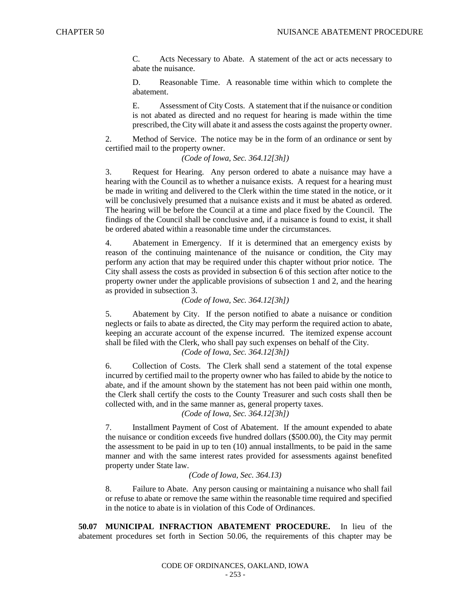C. Acts Necessary to Abate. A statement of the act or acts necessary to abate the nuisance.

D. Reasonable Time. A reasonable time within which to complete the abatement.

E. Assessment of City Costs. A statement that if the nuisance or condition is not abated as directed and no request for hearing is made within the time prescribed, the City will abate it and assess the costs against the property owner.

2. Method of Service. The notice may be in the form of an ordinance or sent by certified mail to the property owner.

*(Code of Iowa, Sec. 364.12[3h])*

3. Request for Hearing. Any person ordered to abate a nuisance may have a hearing with the Council as to whether a nuisance exists. A request for a hearing must be made in writing and delivered to the Clerk within the time stated in the notice, or it will be conclusively presumed that a nuisance exists and it must be abated as ordered. The hearing will be before the Council at a time and place fixed by the Council. The findings of the Council shall be conclusive and, if a nuisance is found to exist, it shall be ordered abated within a reasonable time under the circumstances.

4. Abatement in Emergency. If it is determined that an emergency exists by reason of the continuing maintenance of the nuisance or condition, the City may perform any action that may be required under this chapter without prior notice. The City shall assess the costs as provided in subsection 6 of this section after notice to the property owner under the applicable provisions of subsection 1 and 2, and the hearing as provided in subsection 3.

## *(Code of Iowa, Sec. 364.12[3h])*

5. Abatement by City. If the person notified to abate a nuisance or condition neglects or fails to abate as directed, the City may perform the required action to abate, keeping an accurate account of the expense incurred. The itemized expense account shall be filed with the Clerk, who shall pay such expenses on behalf of the City.

*(Code of Iowa, Sec. 364.12[3h])*

6. Collection of Costs. The Clerk shall send a statement of the total expense incurred by certified mail to the property owner who has failed to abide by the notice to abate, and if the amount shown by the statement has not been paid within one month, the Clerk shall certify the costs to the County Treasurer and such costs shall then be collected with, and in the same manner as, general property taxes.

*(Code of Iowa, Sec. 364.12[3h])*

7. Installment Payment of Cost of Abatement. If the amount expended to abate the nuisance or condition exceeds five hundred dollars (\$500.00), the City may permit the assessment to be paid in up to ten (10) annual installments, to be paid in the same manner and with the same interest rates provided for assessments against benefited property under State law.

## *(Code of Iowa, Sec. 364.13)*

8. Failure to Abate. Any person causing or maintaining a nuisance who shall fail or refuse to abate or remove the same within the reasonable time required and specified in the notice to abate is in violation of this Code of Ordinances.

**50.07 MUNICIPAL INFRACTION ABATEMENT PROCEDURE.** In lieu of the abatement procedures set forth in Section 50.06, the requirements of this chapter may be